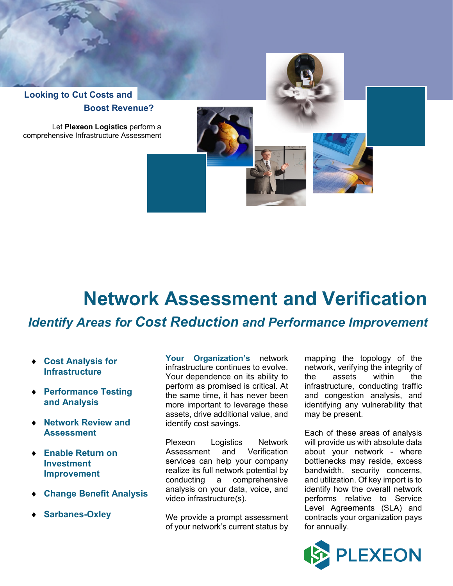

## **Network Assessment and Verification**

## *Identify Areas for Cost Reduction and Performance Improvement*

- ¨ **Cost Analysis for Infrastructure**
- **◆ Performance Testing and Analysis**
- **◆ Network Review and Assessment**
- ◆ **Enable Return on Investment Improvement**
- ¨ **Change Benefit Analysis**
- ¨ **Sarbanes-Oxley**

**Your Organization's** network infrastructure continues to evolve. Your dependence on its ability to perform as promised is critical. At the same time, it has never been more important to leverage these assets, drive additional value, and identify cost savings.

Plexeon Logistics Network Assessment and Verification services can help your company realize its full network potential by conducting a comprehensive analysis on your data, voice, and video infrastructure(s).

We provide a prompt assessment of your network's current status by

mapping the topology of the network, verifying the integrity of the assets within the infrastructure, conducting traffic and congestion analysis, and identifying any vulnerability that may be present.

Each of these areas of analysis will provide us with absolute data about your network - where bottlenecks may reside, excess bandwidth, security concerns, and utilization. Of key import is to identify how the overall network performs relative to Service Level Agreements (SLA) and contracts your organization pays for annually.